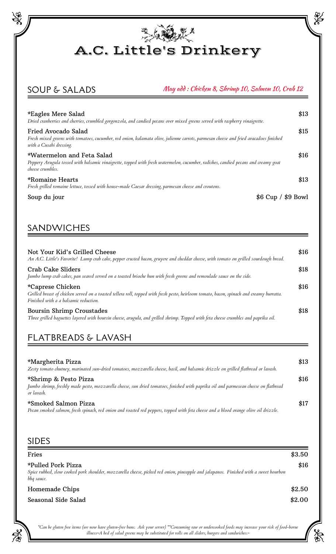

## SOUP & SALADS

#### May add : Chicken 8, Shrimp 10, Salmon 10, Crab 12

X

al<br>No

| *Eagles Mere Salad<br>Dried cranberries and cherries, crumbled gorgonzola, and candied pecans over mixed greens served with raspberry vinaigrette.                                      | \$13               |
|-----------------------------------------------------------------------------------------------------------------------------------------------------------------------------------------|--------------------|
| Fried Avocado Salad<br>Fresh mixed greens with tomatoes, cucumber, red onion, kalamata olive, julienne carrots, parmesan cheese and fried avacadoes finished<br>with a Cusabi dressing. | \$15               |
| *Watermelon and Feta Salad<br>Peppery Arugula tossed with balsamic vinaigrette, topped with fresh watermelon, cucumber, radishes, candied pecans and creamy goat<br>cheese crumbles.    | \$16               |
| *Romaine Hearts<br>Fresh grilled romaine lettuce, tossed with house-made Caesar dressing, parmesan cheese and croutons.                                                                 | \$13               |
| Soup du jour                                                                                                                                                                            | $$6 Cup / $9$ Bowl |

### SANDWICHES

| Not Your Kid's Grilled Cheese<br>An A.C. Little's Favorite! Lump crab cake, pepper crusted bacon, gruyere and cheddar cheese, with tomato on grilled sourdough bread.                                  | \$16 |
|--------------------------------------------------------------------------------------------------------------------------------------------------------------------------------------------------------|------|
| Crab Cake Sliders<br>Jumbo lump crab cakes, pan seared served on a toasted brioche bun with fresh greens and remoulade sauce on the side.                                                              | \$18 |
| *Caprese Chicken<br>Grilled breast of chicken served on a toasted tellera roll, topped with fresh pesto, heirloom tomato, bacon, spinach and creamy burratta.<br>Finished with a a balsamic reduction. | \$16 |
| <b>Boursin Shrimp Croustades</b><br>Three grilled baguettes layered with boursin cheese, arugula, and grilled shrimp. Topped with feta cheese crumbles and paprika oil.                                | \$18 |

# FLATBREADS & LAVASH

| *Margherita Pizza<br>Zesty tomato chutney, marinated sun-dried tomatoes, mozzarella cheese, basil, and balsamic drizzle on grilled flatbread or lavash.                     | \$13 |
|-----------------------------------------------------------------------------------------------------------------------------------------------------------------------------|------|
| *Shrimp & Pesto Pizza<br>Jumbo shrimp, freshly made pesto, mozzarella cheese, sun dried tomatoes, finished with paprika oil and parmesean cheese on flatbread<br>or lavash. | \$16 |
| *Smoked Salmon Pizza<br>Pecan smoked salmon, fresh spinach, red onion and roasted red peppers, topped with feta cheese and a blood orange olive oil drizzle.                | \$17 |

#### SIDES

| Fries                                                                                                                                                                    | \$3.50 |
|--------------------------------------------------------------------------------------------------------------------------------------------------------------------------|--------|
| *Pulled Pork Pizza<br>Spice rubbed, slow cooked pork shoulder, mozzarella cheese, picked red onion, pineapple and jalapanos. Finished with a sweet bourbon<br>bbq sauce. | \$16   |
| Homemade Chips                                                                                                                                                           | \$2.50 |
| Seasonal Side Salad                                                                                                                                                      | \$2.00 |

*\*Can be gluten free items (we now have gluten-free buns. Ask your server) \*\*Consuming raw or undercooked foods may increase your risk of food-borne illness~A bed of salad greens may be substituted for rolls on all sliders, burgers and sandwiches.~*